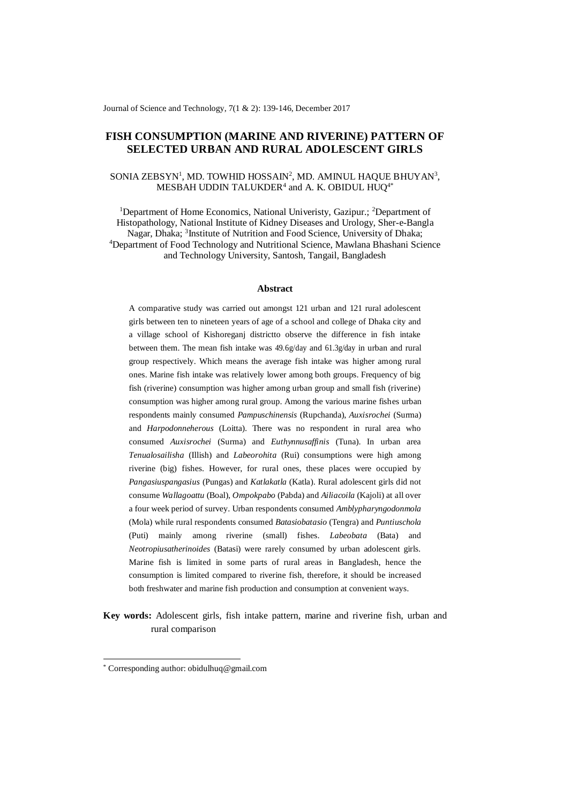Journal of Science and Technology, 7(1 & 2): 139-146, December 2017

# **FISH CONSUMPTION (MARINE AND RIVERINE) PATTERN OF SELECTED URBAN AND RURAL ADOLESCENT GIRLS**

# SONIA ZEBSYN<sup>1</sup>, MD. TOWHID HOSSAIN<sup>2</sup>, MD. AMINUL HAQUE BHUYAN<sup>3</sup>, MESBAH UDDIN TALUKDER<sup>4</sup> and A. K. OBIDUL HUQ<sup>4\*</sup>

<sup>1</sup>Department of Home Economics, National Univeristy, Gazipur.; <sup>2</sup>Department of Histopathology, National Institute of Kidney Diseases and Urology, Sher-e-Bangla Nagar, Dhaka; <sup>3</sup>Institute of Nutrition and Food Science, University of Dhaka; <sup>4</sup>Department of Food Technology and Nutritional Science, Mawlana Bhashani Science and Technology University, Santosh, Tangail, Bangladesh

#### **Abstract**

A comparative study was carried out amongst 121 urban and 121 rural adolescent girls between ten to nineteen years of age of a school and college of Dhaka city and a village school of Kishoreganj districtto observe the difference in fish intake between them. The mean fish intake was 49.6g/day and 61.3g/day in urban and rural group respectively. Which means the average fish intake was higher among rural ones. Marine fish intake was relatively lower among both groups. Frequency of big fish (riverine) consumption was higher among urban group and small fish (riverine) consumption was higher among rural group. Among the various marine fishes urban respondents mainly consumed *Pampuschinensis* (Rupchanda), *Auxisrochei* (Surma) and *Harpodonneherous* (Loitta). There was no respondent in rural area who consumed *Auxisrochei* (Surma) and *Euthynnusaffinis* (Tuna). In urban area *Tenualosailisha* (Illish) and *Labeorohita* (Rui) consumptions were high among riverine (big) fishes. However, for rural ones, these places were occupied by *Pangasiuspangasius* (Pungas) and *Katlakatla* (Katla). Rural adolescent girls did not consume *Wallagoattu* (Boal), *Ompokpabo* (Pabda) and *Ailiacoila* (Kajoli) at all over a four week period of survey. Urban respondents consumed *Amblypharyngodonmola* (Mola) while rural respondents consumed *Batasiobatasio* (Tengra) and *Puntiuschola* (Puti) mainly among riverine (small) fishes. *Labeobata* (Bata) and *Neotropiusatherinoides* (Batasi) were rarely consumed by urban adolescent girls. Marine fish is limited in some parts of rural areas in Bangladesh, hence the consumption is limited compared to riverine fish, therefore, it should be increased both freshwater and marine fish production and consumption at convenient ways.

**Key words:** Adolescent girls, fish intake pattern, marine and riverine fish, urban and rural comparison

 $\overline{a}$ 

<sup>\*</sup> Corresponding author: obidulhuq@gmail.com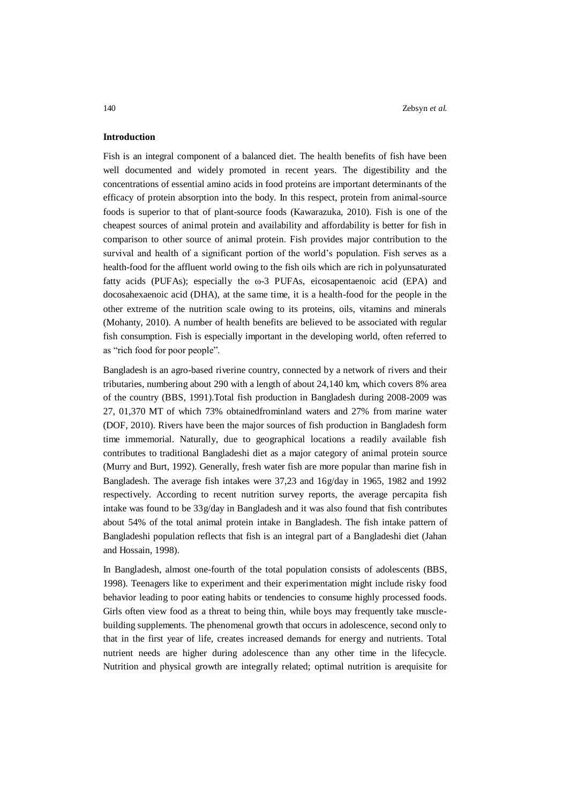## **Introduction**

Fish is an integral component of a balanced diet. The health benefits of fish have been well documented and widely promoted in recent years. The digestibility and the concentrations of essential amino acids in food proteins are important determinants of the efficacy of protein absorption into the body. In this respect, protein from animal-source foods is superior to that of plant-source foods (Kawarazuka, 2010). Fish is one of the cheapest sources of animal protein and availability and affordability is better for fish in comparison to other source of animal protein. Fish provides major contribution to the survival and health of a significant portion of the world's population. Fish serves as a health-food for the affluent world owing to the fish oils which are rich in polyunsaturated fatty acids (PUFAs); especially the  $\omega$ -3 PUFAs, eicosapentaenoic acid (EPA) and docosahexaenoic acid (DHA), at the same time, it is a health-food for the people in the other extreme of the nutrition scale owing to its proteins, oils, vitamins and minerals (Mohanty, 2010). A number of health benefits are believed to be associated with regular fish consumption. Fish is especially important in the developing world, often referred to as "rich food for poor people".

Bangladesh is an agro-based riverine country, connected by a network of rivers and their tributaries, numbering about 290 with a length of about 24,140 km, which covers 8% area of the country (BBS, 1991).Total fish production in Bangladesh during 2008-2009 was 27, 01,370 MT of which 73% obtainedfrominland waters and 27% from marine water (DOF, 2010). Rivers have been the major sources of fish production in Bangladesh form time immemorial. Naturally, due to geographical locations a readily available fish contributes to traditional Bangladeshi diet as a major category of animal protein source (Murry and Burt, 1992). Generally, fresh water fish are more popular than marine fish in Bangladesh. The average fish intakes were 37,23 and 16g/day in 1965, 1982 and 1992 respectively. According to recent nutrition survey reports, the average percapita fish intake was found to be 33g/day in Bangladesh and it was also found that fish contributes about 54% of the total animal protein intake in Bangladesh. The fish intake pattern of Bangladeshi population reflects that fish is an integral part of a Bangladeshi diet (Jahan and Hossain, 1998).

In Bangladesh, almost one-fourth of the total population consists of adolescents (BBS, 1998). Teenagers like to experiment and their experimentation might include risky food behavior leading to poor eating habits or tendencies to consume highly processed foods. Girls often view food as a threat to being thin, while boys may frequently take musclebuilding supplements. The phenomenal growth that occurs in adolescence, second only to that in the first year of life, creates increased demands for energy and nutrients. Total nutrient needs are higher during adolescence than any other time in the lifecycle. Nutrition and physical growth are integrally related; optimal nutrition is arequisite for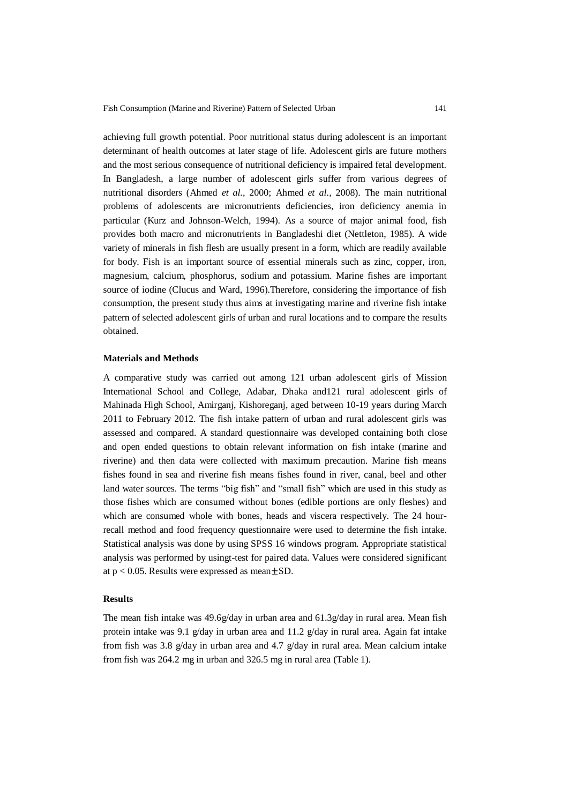achieving full growth potential. Poor nutritional status during adolescent is an important determinant of health outcomes at later stage of life. Adolescent girls are future mothers and the most serious consequence of nutritional deficiency is impaired fetal development. In Bangladesh, a large number of adolescent girls suffer from various degrees of nutritional disorders (Ahmed *et al.,* 2000; Ahmed *et al.,* 2008). The main nutritional problems of adolescents are micronutrients deficiencies, iron deficiency anemia in particular (Kurz and Johnson-Welch, 1994). As a source of major animal food, fish provides both macro and micronutrients in Bangladeshi diet (Nettleton, 1985). A wide variety of minerals in fish flesh are usually present in a form, which are readily available for body. Fish is an important source of essential minerals such as zinc, copper, iron, magnesium, calcium, phosphorus, sodium and potassium. Marine fishes are important source of iodine (Clucus and Ward, 1996).Therefore, considering the importance of fish consumption, the present study thus aims at investigating marine and riverine fish intake pattern of selected adolescent girls of urban and rural locations and to compare the results obtained.

#### **Materials and Methods**

A comparative study was carried out among 121 urban adolescent girls of Mission International School and College, Adabar, Dhaka and121 rural adolescent girls of Mahinada High School, Amirganj, Kishoreganj, aged between 10-19 years during March 2011 to February 2012. The fish intake pattern of urban and rural adolescent girls was assessed and compared. A standard questionnaire was developed containing both close and open ended questions to obtain relevant information on fish intake (marine and riverine) and then data were collected with maximum precaution. Marine fish means fishes found in sea and riverine fish means fishes found in river, canal, beel and other land water sources. The terms "big fish" and "small fish" which are used in this study as those fishes which are consumed without bones (edible portions are only fleshes) and which are consumed whole with bones, heads and viscera respectively. The 24 hourrecall method and food frequency questionnaire were used to determine the fish intake. Statistical analysis was done by using SPSS 16 windows program. Appropriate statistical analysis was performed by usingt-test for paired data. Values were considered significant at  $p < 0.05$ . Results were expressed as mean  $\pm$ SD.

### **Results**

The mean fish intake was 49.6g/day in urban area and 61.3g/day in rural area. Mean fish protein intake was 9.1 g/day in urban area and 11.2 g/day in rural area. Again fat intake from fish was 3.8 g/day in urban area and 4.7 g/day in rural area. Mean calcium intake from fish was 264.2 mg in urban and 326.5 mg in rural area (Table 1).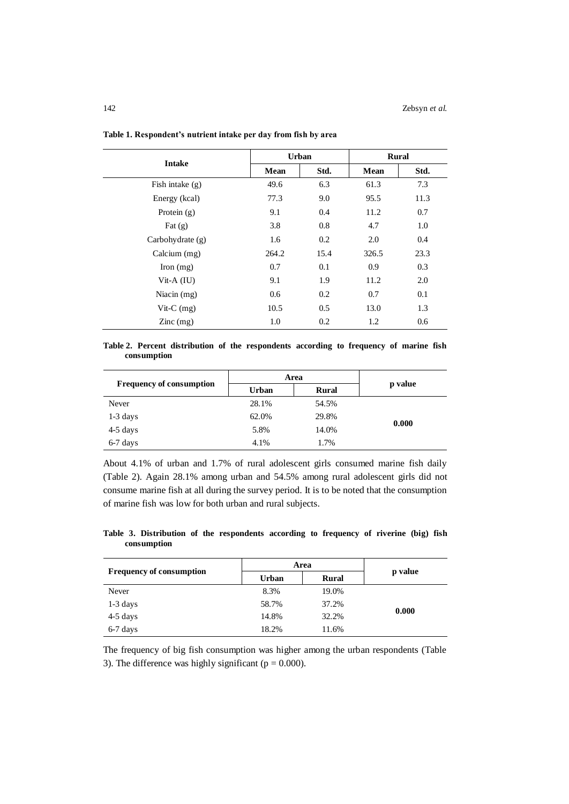| <b>Intake</b>                          | <b>Urban</b> |      | <b>Rural</b> |      |
|----------------------------------------|--------------|------|--------------|------|
|                                        | <b>Mean</b>  | Std. | <b>Mean</b>  | Std. |
| Fish intake $(g)$                      | 49.6         | 6.3  | 61.3         | 7.3  |
| Energy (kcal)                          | 77.3         | 9.0  | 95.5         | 11.3 |
| Protein $(g)$                          | 9.1          | 0.4  | 11.2         | 0.7  |
| Fat $(g)$                              | 3.8          | 0.8  | 4.7          | 1.0  |
| Carbohydrate (g)                       | 1.6          | 0.2  | 2.0          | 0.4  |
| Calcium (mg)                           | 264.2        | 15.4 | 326.5        | 23.3 |
| Iron $(mg)$                            | 0.7          | 0.1  | 0.9          | 0.3  |
| Vit-A $(IU)$                           | 9.1          | 1.9  | 11.2         | 2.0  |
| Niacin $(mg)$                          | 0.6          | 0.2  | 0.7          | 0.1  |
| Vit- $C$ (mg)                          | 10.5         | 0.5  | 13.0         | 1.3  |
| $\text{Zinc} \left( \text{mg} \right)$ | 1.0          | 0.2  | 1.2          | 0.6  |

**Table 1. Respondent's nutrient intake per day from fish by area**

**Table 2. Percent distribution of the respondents according to frequency of marine fish consumption**

| <b>Frequency of consumption</b> | Area  |              |         |  |
|---------------------------------|-------|--------------|---------|--|
|                                 | Urban | <b>Rural</b> | p value |  |
| Never                           | 28.1% | 54.5%        |         |  |
| $1-3$ days                      | 62.0% | 29.8%        |         |  |
| $4-5$ days                      | 5.8%  | 14.0%        | 0.000   |  |
| 6-7 days                        | 4.1%  | 1.7%         |         |  |

About 4.1% of urban and 1.7% of rural adolescent girls consumed marine fish daily (Table 2). Again 28.1% among urban and 54.5% among rural adolescent girls did not consume marine fish at all during the survey period. It is to be noted that the consumption of marine fish was low for both urban and rural subjects.

**Table 3. Distribution of the respondents according to frequency of riverine (big) fish consumption**

| <b>Frequency of consumption</b> | Area         |       |         |  |
|---------------------------------|--------------|-------|---------|--|
|                                 | <b>Urban</b> | Rural | p value |  |
| Never                           | 8.3%         | 19.0% |         |  |
| $1-3$ days                      | 58.7%        | 37.2% |         |  |
| $4-5$ days                      | 14.8%        | 32.2% | 0.000   |  |
| 6-7 days                        | 18.2%        | 11.6% |         |  |

The frequency of big fish consumption was higher among the urban respondents (Table 3). The difference was highly significant ( $p = 0.000$ ).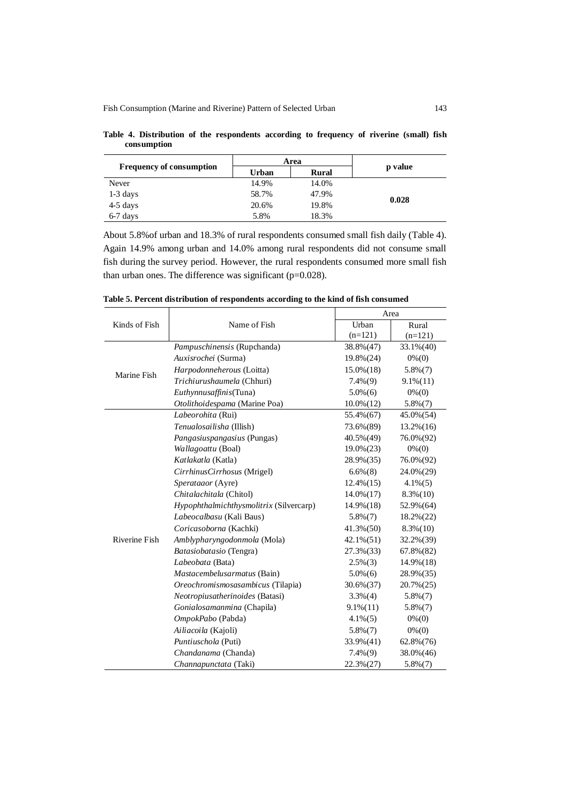| <b>Frequency of consumption</b> | Area  |              |         |  |
|---------------------------------|-------|--------------|---------|--|
|                                 | Urban | <b>Rural</b> | p value |  |
| Never                           | 14.9% | 14.0%        |         |  |
| $1-3$ days                      | 58.7% | 47.9%        |         |  |
| $4-5$ days                      | 20.6% | 19.8%        | 0.028   |  |
| 6-7 days                        | 5.8%  | 18.3%        |         |  |

**Table 4. Distribution of the respondents according to frequency of riverine (small) fish consumption**

About 5.8%of urban and 18.3% of rural respondents consumed small fish daily (Table 4). Again 14.9% among urban and 14.0% among rural respondents did not consume small fish during the survey period. However, the rural respondents consumed more small fish than urban ones. The difference was significant (p=0.028).

|                      |                                         |                 | Area          |  |  |
|----------------------|-----------------------------------------|-----------------|---------------|--|--|
| Kinds of Fish        | Name of Fish                            | Urban           | Rural         |  |  |
|                      |                                         | $(n=121)$       | $(n=121)$     |  |  |
|                      | <i>Pampuschinensis</i> (Rupchanda)      | 38.8% (47)      | $33.1\%(40)$  |  |  |
|                      | Auxisrochei (Surma)                     | $19.8\%(24)$    | $0\% (0)$     |  |  |
| Marine Fish          | Harpodonneherous (Loitta)               | $15.0\%(18)$    | $5.8\%(7)$    |  |  |
|                      | Trichiurushaumela (Chhuri)              | $7.4\%(9)$      | $9.1\%(11)$   |  |  |
|                      | Euthynnusaffinis(Tuna)                  | $5.0\%$ (6)     | $0\%$ (0)     |  |  |
|                      | Otolithoidespama (Marine Poa)           | $10.0\%(12)$    | $5.8\%(7)$    |  |  |
|                      | Labeorohita (Rui)                       | 55.4% (67)      | $45.0\% (54)$ |  |  |
|                      | Tenualosailisha (Illish)                | 73.6% (89)      | $13.2\%(16)$  |  |  |
|                      | Pangasiuspangasius (Pungas)             | 40.5% (49)      | 76.0% (92)    |  |  |
|                      | Wallagoattu (Boal)                      | $19.0\%(23)$    | $0\%$ (0)     |  |  |
|                      | Katlakatla (Katla)                      | 28.9% (35)      | 76.0% (92)    |  |  |
|                      | CirrhinusCirrhosus (Mrigel)             | $6.6\%$ $(8)$   | 24.0% (29)    |  |  |
|                      | Sperataaor (Ayre)                       | $12.4\%(15)$    | $4.1\%$ (5)   |  |  |
|                      | Chitalachitala (Chitol)                 | $14.0\% (17)$   | $8.3\%(10)$   |  |  |
|                      | Hypophthalmichthysmolitrix (Silvercarp) | $14.9\%$ (18)   | 52.9% (64)    |  |  |
|                      | Labeocalbasu (Kali Baus)                | $5.8\%$ $(7)$   | $18.2\% (22)$ |  |  |
|                      | Coricasoborna (Kachki)                  | $41.3\%(50)$    | $8.3\%(10)$   |  |  |
| <b>Riverine Fish</b> | Amblypharyngodonmola (Mola)             | $42.1\%(51)$    | $32.2\%(39)$  |  |  |
|                      | Batasiobatasio (Tengra)                 | $27.3\%$ $(33)$ | $67.8\%(82)$  |  |  |
|                      | Labeobata (Bata)                        | $2.5\%(3)$      | $14.9\%(18)$  |  |  |
|                      | Mastacembelusarmatus (Bain)             | $5.0\%$ (6)     | 28.9% (35)    |  |  |
|                      | Oreochromismosasambicus (Tilapia)       | $30.6\% (37)$   | $20.7\% (25)$ |  |  |
|                      | Neotropiusatherinoides (Batasi)         | $3.3\%(4)$      | $5.8\%$ $(7)$ |  |  |
|                      | Gonialosamanmina (Chapila)              | $9.1\%(11)$     | $5.8\%(7)$    |  |  |
|                      | OmpokPabo (Pabda)                       | $4.1\%$ (5)     | $0\%$ (0)     |  |  |
|                      | Ailiacoila (Kajoli)                     | $5.8\%(7)$      | $0\%$ (0)     |  |  |
|                      | Puntiuschola (Puti)                     | $33.9\%(41)$    | $62.8\%(76)$  |  |  |
|                      | Chandanama (Chanda)                     | $7.4\%(9)$      | $38.0\%(46)$  |  |  |
|                      | Channapunctata (Taki)                   | $22.3\%(27)$    | $5.8\%(7)$    |  |  |

**Table 5. Percent distribution of respondents according to the kind of fish consumed**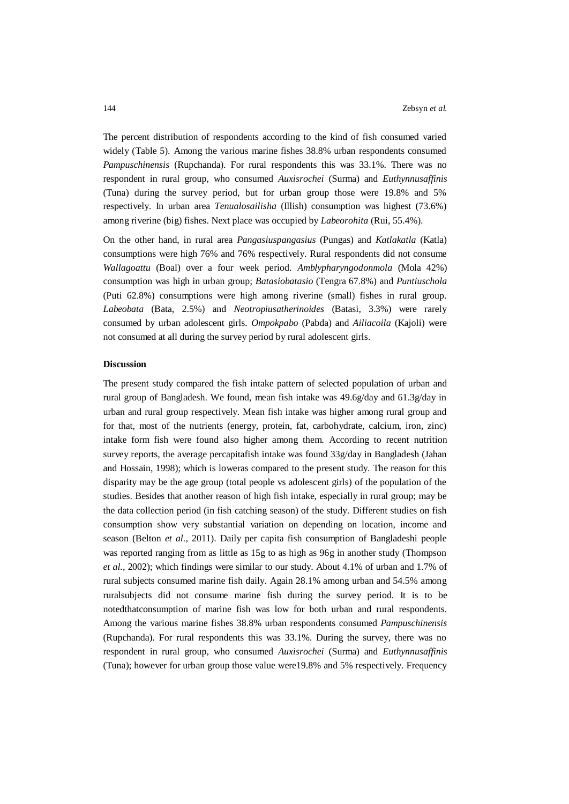The percent distribution of respondents according to the kind of fish consumed varied widely (Table 5). Among the various marine fishes 38.8% urban respondents consumed *Pampuschinensis* (Rupchanda). For rural respondents this was 33.1%. There was no respondent in rural group, who consumed *Auxisrochei* (Surma) and *Euthynnusaffinis* (Tuna) during the survey period, but for urban group those were 19.8% and 5% respectively. In urban area *Tenualosailisha* (Illish) consumption was highest (73.6%) among riverine (big) fishes. Next place was occupied by *Labeorohita* (Rui, 55.4%).

On the other hand, in rural area *Pangasiuspangasius* (Pungas) and *Katlakatla* (Katla) consumptions were high 76% and 76% respectively. Rural respondents did not consume *Wallagoattu* (Boal) over a four week period. *Amblypharyngodonmola* (Mola 42%) consumption was high in urban group; *Batasiobatasio* (Tengra 67.8%) and *Puntiuschola* (Puti 62.8%) consumptions were high among riverine (small) fishes in rural group. *Labeobata* (Bata, 2.5%) and *Neotropiusatherinoides* (Batasi, 3.3%) were rarely consumed by urban adolescent girls. *Ompokpabo* (Pabda) and *Ailiacoila* (Kajoli) were not consumed at all during the survey period by rural adolescent girls.

#### **Discussion**

The present study compared the fish intake pattern of selected population of urban and rural group of Bangladesh. We found, mean fish intake was 49.6g/day and 61.3g/day in urban and rural group respectively. Mean fish intake was higher among rural group and for that, most of the nutrients (energy, protein, fat, carbohydrate, calcium, iron, zinc) intake form fish were found also higher among them. According to recent nutrition survey reports, the average percapitafish intake was found 33g/day in Bangladesh (Jahan and Hossain, 1998); which is loweras compared to the present study. The reason for this disparity may be the age group (total people vs adolescent girls) of the population of the studies. Besides that another reason of high fish intake, especially in rural group; may be the data collection period (in fish catching season) of the study. Different studies on fish consumption show very substantial variation on depending on location, income and season (Belton *et al.,* 2011). Daily per capita fish consumption of Bangladeshi people was reported ranging from as little as 15g to as high as 96g in another study (Thompson *et al.,* 2002); which findings were similar to our study. About 4.1% of urban and 1.7% of rural subjects consumed marine fish daily. Again 28.1% among urban and 54.5% among ruralsubjects did not consume marine fish during the survey period. It is to be notedthatconsumption of marine fish was low for both urban and rural respondents. Among the various marine fishes 38.8% urban respondents consumed *Pampuschinensis* (Rupchanda). For rural respondents this was 33.1%. During the survey, there was no respondent in rural group, who consumed *Auxisrochei* (Surma) and *Euthynnusaffinis* (Tuna); however for urban group those value were19.8% and 5% respectively. Frequency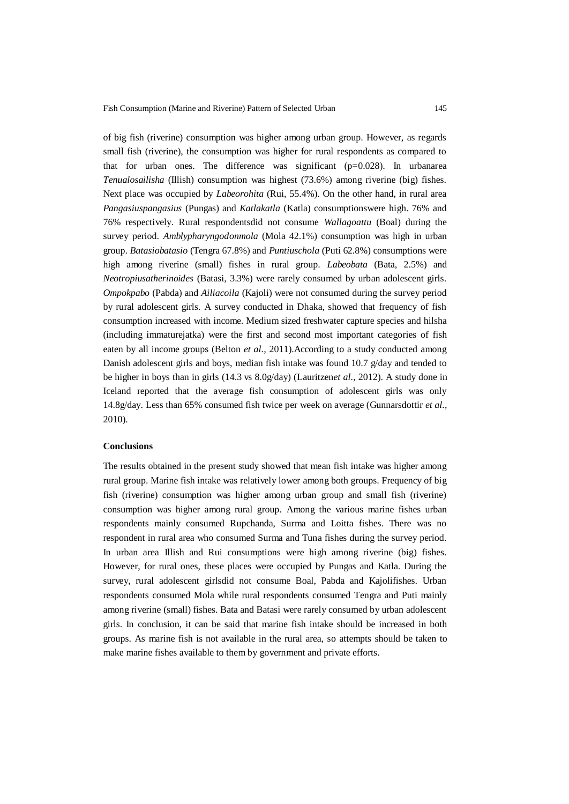of big fish (riverine) consumption was higher among urban group. However, as regards small fish (riverine), the consumption was higher for rural respondents as compared to that for urban ones. The difference was significant  $(p=0.028)$ . In urbanarea *Tenualosailisha* (Illish) consumption was highest (73.6%) among riverine (big) fishes. Next place was occupied by *Labeorohita* (Rui, 55.4%). On the other hand, in rural area *Pangasiuspangasius* (Pungas) and *Katlakatla* (Katla) consumptionswere high. 76% and 76% respectively. Rural respondentsdid not consume *Wallagoattu* (Boal) during the survey period. *Amblypharyngodonmola* (Mola 42.1%) consumption was high in urban group. *Batasiobatasio* (Tengra 67.8%) and *Puntiuschola* (Puti 62.8%) consumptions were high among riverine (small) fishes in rural group. *Labeobata* (Bata, 2.5%) and *Neotropiusatherinoides* (Batasi, 3.3%) were rarely consumed by urban adolescent girls. *Ompokpabo* (Pabda) and *Ailiacoila* (Kajoli) were not consumed during the survey period by rural adolescent girls. A survey conducted in Dhaka, showed that frequency of fish consumption increased with income. Medium sized freshwater capture species and hilsha (including immaturejatka) were the first and second most important categories of fish eaten by all income groups (Belton *et al.,* 2011).According to a study conducted among Danish adolescent girls and boys, median fish intake was found 10.7  $g$ /day and tended to be higher in boys than in girls (14.3 vs 8.0g/day) (Lauritzen*et al.,* 2012). A study done in Iceland reported that the average fish consumption of adolescent girls was only 14.8g/day. Less than 65% consumed fish twice per week on average (Gunnarsdottir *et al.,* 2010).

#### **Conclusions**

The results obtained in the present study showed that mean fish intake was higher among rural group. Marine fish intake was relatively lower among both groups. Frequency of big fish (riverine) consumption was higher among urban group and small fish (riverine) consumption was higher among rural group. Among the various marine fishes urban respondents mainly consumed Rupchanda, Surma and Loitta fishes. There was no respondent in rural area who consumed Surma and Tuna fishes during the survey period. In urban area Illish and Rui consumptions were high among riverine (big) fishes. However, for rural ones, these places were occupied by Pungas and Katla. During the survey, rural adolescent girlsdid not consume Boal, Pabda and Kajolifishes. Urban respondents consumed Mola while rural respondents consumed Tengra and Puti mainly among riverine (small) fishes. Bata and Batasi were rarely consumed by urban adolescent girls. In conclusion, it can be said that marine fish intake should be increased in both groups. As marine fish is not available in the rural area, so attempts should be taken to make marine fishes available to them by government and private efforts.